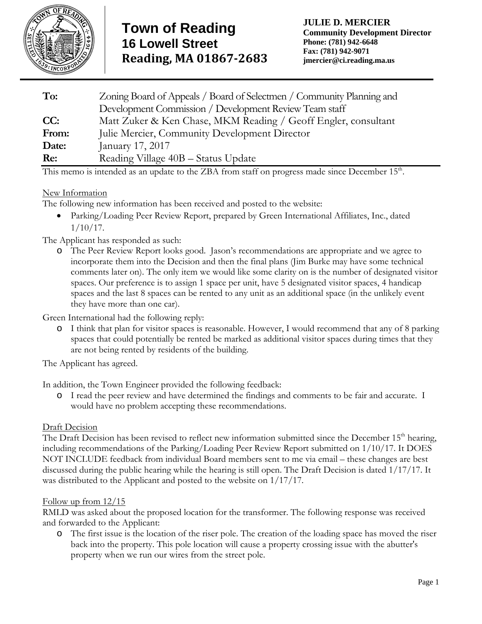

| To:   | Zoning Board of Appeals / Board of Selectmen / Community Planning and<br>Development Commission / Development Review Team staff |
|-------|---------------------------------------------------------------------------------------------------------------------------------|
| CC:   | Matt Zuker & Ken Chase, MKM Reading / Geoff Engler, consultant                                                                  |
| From: | Julie Mercier, Community Development Director                                                                                   |
| Date: | January 17, 2017                                                                                                                |
| Re:   | Reading Village 40B - Status Update                                                                                             |

This memo is intended as an update to the ZBA from staff on progress made since December  $15<sup>th</sup>$ .

# New Information

The following new information has been received and posted to the website:

 Parking/Loading Peer Review Report, prepared by Green International Affiliates, Inc., dated 1/10/17.

The Applicant has responded as such:

o The Peer Review Report looks good. Jason's recommendations are appropriate and we agree to incorporate them into the Decision and then the final plans (Jim Burke may have some technical comments later on). The only item we would like some clarity on is the number of designated visitor spaces. Our preference is to assign 1 space per unit, have 5 designated visitor spaces, 4 handicap spaces and the last 8 spaces can be rented to any unit as an additional space (in the unlikely event they have more than one car).

Green International had the following reply:

o I think that plan for visitor spaces is reasonable. However, I would recommend that any of 8 parking spaces that could potentially be rented be marked as additional visitor spaces during times that they are not being rented by residents of the building.

The Applicant has agreed.

In addition, the Town Engineer provided the following feedback:

o I read the peer review and have determined the findings and comments to be fair and accurate. I would have no problem accepting these recommendations.

## Draft Decision

The Draft Decision has been revised to reflect new information submitted since the December 15<sup>th</sup> hearing, including recommendations of the Parking/Loading Peer Review Report submitted on 1/10/17. It DOES NOT INCLUDE feedback from individual Board members sent to me via email – these changes are best discussed during the public hearing while the hearing is still open. The Draft Decision is dated 1/17/17. It was distributed to the Applicant and posted to the website on 1/17/17.

## Follow up from 12/15

RMLD was asked about the proposed location for the transformer. The following response was received and forwarded to the Applicant:

o The first issue is the location of the riser pole. The creation of the loading space has moved the riser back into the property. This pole location will cause a property crossing issue with the abutter's property when we run our wires from the street pole.